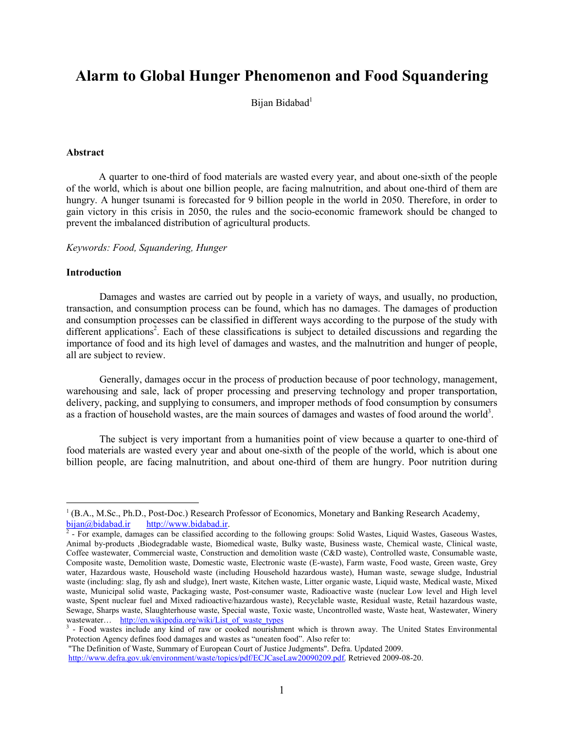# **Alarm to Global Hunger Phenomenon and Food Squandering**

Bijan Bidabad<sup>1</sup>

### **Abstract**

A quarter to one-third of food materials are wasted every year, and about one-sixth of the people of the world, which is about one billion people, are facing malnutrition, and about one-third of them are hungry. A hunger tsunami is forecasted for 9 billion people in the world in 2050. Therefore, in order to gain victory in this crisis in 2050, the rules and the socio-economic framework should be changed to prevent the imbalanced distribution of agricultural products.

*Keywords: Food, Squandering, Hunger* 

#### **Introduction**

 $\overline{a}$ 

Damages and wastes are carried out by people in a variety of ways, and usually, no production, transaction, and consumption process can be found, which has no damages. The damages of production and consumption processes can be classified in different ways according to the purpose of the study with different applications<sup>2</sup>. Each of these classifications is subject to detailed discussions and regarding the importance of food and its high level of damages and wastes, and the malnutrition and hunger of people, all are subject to review.

Generally, damages occur in the process of production because of poor technology, management, warehousing and sale, lack of proper processing and preserving technology and proper transportation, delivery, packing, and supplying to consumers, and improper methods of food consumption by consumers as a fraction of household wastes, are the main sources of damages and wastes of food around the world<sup>3</sup>.

The subject is very important from a humanities point of view because a quarter to one-third of food materials are wasted every year and about one-sixth of the people of the world, which is about one billion people, are facing malnutrition, and about one-third of them are hungry. Poor nutrition during

<sup>&</sup>lt;sup>1</sup> (B.A., M.Sc., Ph.D., Post-Doc.) Research Professor of Economics, Monetary and Banking Research Academy, <http://www.bidabad.ir>.  $\frac{\text{bijan}(\hat{a})\text{bidabad.ir}}{2}$ 

 <sup>-</sup> For example, damages can be classified according to the following groups: Solid Wastes, Liquid Wastes, Gaseous Wastes, Animal by-products ,Biodegradable waste, Biomedical waste, Bulky waste, Business waste, Chemical waste, Clinical waste, Coffee wastewater, Commercial waste, Construction and demolition waste (C&D waste), Controlled waste, Consumable waste, Composite waste, Demolition waste, Domestic waste, Electronic waste (E-waste), Farm waste, Food waste, Green waste, Grey water, Hazardous waste, Household waste (including Household hazardous waste), Human waste, sewage sludge, Industrial waste (including: slag, fly ash and sludge), Inert waste, Kitchen waste, Litter organic waste, Liquid waste, Medical waste, Mixed waste, Municipal solid waste, Packaging waste, Post-consumer waste, Radioactive waste (nuclear Low level and High level waste, Spent nuclear fuel and Mixed radioactive/hazardous waste), Recyclable waste, Residual waste, Retail hazardous waste, Sewage, Sharps waste, Slaughterhouse waste, Special waste, Toxic waste, Uncontrolled waste, Waste heat, Wastewater, Winery wastewater… http://en.wikipedia.org/wiki/List\_of\_waste\_types

<sup>&</sup>lt;sup>3</sup> - Food wastes include any kind of raw or cooked nourishment which is thrown away. The United States Environmental Protection Agency defines food damages and wastes as "uneaten food". Also refer to:

 <sup>&</sup>quot;The Definition of Waste, Summary of European Court of Justice Judgments". Defra. Updated 2009.

[http://www.defra.gov.uk/environment/waste/topics/pdf/ECJCaseLaw20090209.pdf.](http://www.defra.gov.uk/environment/waste/topics/pdf/ECJCaseLaw20090209.pdf) Retrieved 2009-08-20.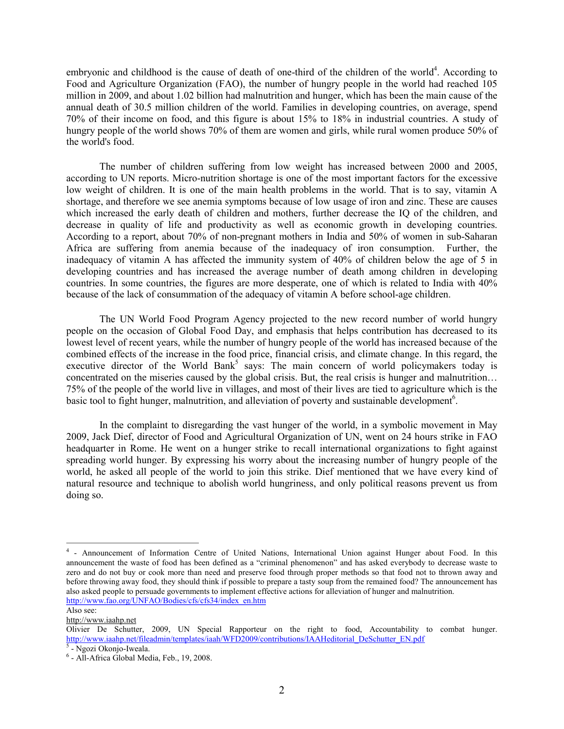embryonic and childhood is the cause of death of one-third of the children of the world<sup>4</sup>. According to Food and Agriculture Organization (FAO), the number of hungry people in the world had reached 105 million in 2009, and about 1.02 billion had malnutrition and hunger, which has been the main cause of the annual death of 30.5 million children of the world. Families in developing countries, on average, spend 70% of their income on food, and this figure is about 15% to 18% in industrial countries. A study of hungry people of the world shows 70% of them are women and girls, while rural women produce 50% of the world's food.

The number of children suffering from low weight has increased between 2000 and 2005, according to UN reports. Micro-nutrition shortage is one of the most important factors for the excessive low weight of children. It is one of the main health problems in the world. That is to say, vitamin A shortage, and therefore we see anemia symptoms because of low usage of iron and zinc. These are causes which increased the early death of children and mothers, further decrease the IQ of the children, and decrease in quality of life and productivity as well as economic growth in developing countries. According to a report, about 70% of non-pregnant mothers in India and 50% of women in sub-Saharan Africa are suffering from anemia because of the inadequacy of iron consumption. Further, the inadequacy of vitamin A has affected the immunity system of 40% of children below the age of 5 in developing countries and has increased the average number of death among children in developing countries. In some countries, the figures are more desperate, one of which is related to India with 40% because of the lack of consummation of the adequacy of vitamin A before school-age children.

The UN World Food Program Agency projected to the new record number of world hungry people on the occasion of Global Food Day, and emphasis that helps contribution has decreased to its lowest level of recent years, while the number of hungry people of the world has increased because of the combined effects of the increase in the food price, financial crisis, and climate change. In this regard, the executive director of the World Bank<sup>5</sup> says: The main concern of world policymakers today is concentrated on the miseries caused by the global crisis. But, the real crisis is hunger and malnutrition… 75% of the people of the world live in villages, and most of their lives are tied to agriculture which is the basic tool to fight hunger, malnutrition, and alleviation of poverty and sustainable development<sup>6</sup>.

In the complaint to disregarding the vast hunger of the world, in a symbolic movement in May 2009, Jack Dief, director of Food and Agricultural Organization of UN, went on 24 hours strike in FAO headquarter in Rome. He went on a hunger strike to recall international organizations to fight against spreading world hunger. By expressing his worry about the increasing number of hungry people of the world, he asked all people of the world to join this strike. Dief mentioned that we have every kind of natural resource and technique to abolish world hungriness, and only political reasons prevent us from doing so.

Also see:

 $\overline{a}$ 

<sup>&</sup>lt;sup>4</sup> - Announcement of Information Centre of United Nations, International Union against Hunger about Food. In this announcement the waste of food has been defined as a "criminal phenomenon" and has asked everybody to decrease waste to zero and do not buy or cook more than need and preserve food through proper methods so that food not to thrown away and before throwing away food, they should think if possible to prepare a tasty soup from the remained food? The announcement has also asked people to persuade governments to implement effective actions for alleviation of hunger and malnutrition. [http://www.fao.org/UNFAO/Bodies/cfs/cfs34/index\\_en.htm](http://www.fao.org/UNFAO/Bodies/cfs/cfs34/index_en.htm) 

<http://www.iaahp.net>

Olivier De Schutter, 2009, UN Special Rapporteur on the right to food, Accountability to combat hunger. http://www.iaahp.net/fileadmin/templates/iaah/WFD2009/contributions/IAAHeditorial\_DeSchutter\_EN.pdf

<sup>&</sup>lt;sup>5</sup> - Ngozi Okonjo-Iweala.

<sup>6</sup> - All-Africa Global Media, Feb., 19, 2008.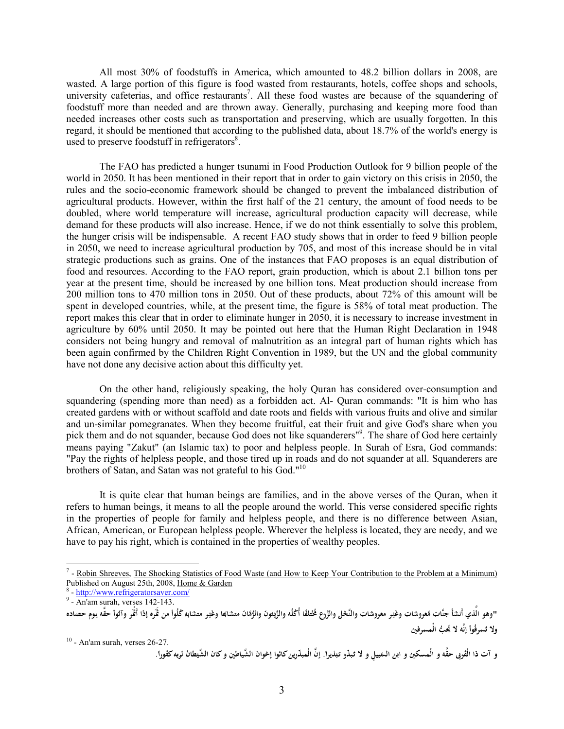All most 30% of foodstuffs in America, which amounted to 48.2 billion dollars in 2008, are wasted. A large portion of this figure is food wasted from restaurants, hotels, coffee shops and schools, university cafeterias, and office restaurants<sup>7</sup>. All these food wastes are because of the squandering of foodstuff more than needed and are thrown away. Generally, purchasing and keeping more food than needed increases other costs such as transportation and preserving, which are usually forgotten. In this regard, it should be mentioned that according to the published data, about 18.7% of the world's energy is used to preserve foodstuff in refrigerators<sup>8</sup>.

The FAO has predicted a hunger tsunami in Food Production Outlook for 9 billion people of the world in 2050. It has been mentioned in their report that in order to gain victory on this crisis in 2050, the rules and the socio-economic framework should be changed to prevent the imbalanced distribution of agricultural products. However, within the first half of the 21 century, the amount of food needs to be doubled, where world temperature will increase, agricultural production capacity will decrease, while demand for these products will also increase. Hence, if we do not think essentially to solve this problem, the hunger crisis will be indispensable. A recent FAO study shows that in order to feed 9 billion people in 2050, we need to increase agricultural production by 705, and most of this increase should be in vital strategic productions such as grains. One of the instances that FAO proposes is an equal distribution of food and resources. According to the FAO report, grain production, which is about 2.1 billion tons per year at the present time, should be increased by one billion tons. Meat production should increase from 200 million tons to 470 million tons in 2050. Out of these products, about 72% of this amount will be spent in developed countries, while, at the present time, the figure is 58% of total meat production. The report makes this clear that in order to eliminate hunger in 2050, it is necessary to increase investment in agriculture by 60% until 2050. It may be pointed out here that the Human Right Declaration in 1948 considers not being hungry and removal of malnutrition as an integral part of human rights which has been again confirmed by the Children Right Convention in 1989, but the UN and the global community have not done any decisive action about this difficulty yet.

On the other hand, religiously speaking, the holy Quran has considered over-consumption and squandering (spending more than need) as a forbidden act. Al- Quran commands: "It is him who has created gardens with or without scaffold and date roots and fields with various fruits and olive and similar and un-similar pomegranates. When they become fruitful, eat their fruit and give God's share when you pick them and do not squander, because God does not like squanderers<sup>19</sup>. The share of God here certainly means paying "Zakut" (an Islamic tax) to poor and helpless people. In Surah of Esra, God commands: "Pay the rights of helpless people, and those tired up in roads and do not squander at all. Squanderers are brothers of Satan, and Satan was not grateful to his God."<sup>10</sup>

It is quite clear that human beings are families, and in the above verses of the Quran, when it refers to human beings, it means to all the people around the world. This verse considered specific rights in the properties of people for family and helpless people, and there is no difference between Asian, African, American, or European helpless people. Wherever the helpless is located, they are needy, and we have to pay his right, which is contained in the properties of wealthy peoples.

 $\overline{a}$ 

 $10$  - An'am surah, verses 26-27.

و آت ذا الْقُربى حقَّه و الْمسكين و ابن السَّبيلِ و لا ثبذّر تبذيراً. إنَّ الْمبذّرين كائوا إحْوانَ الشَّياطينِ و كانَ الشَّيطانُ لربِه كفُوراً. **ْ َ َ ِ ْ َ ْ ِ َ َ ِ َ ْ َ َ ِ ِ َ ِ ِ ب َ ِ ل ْ َ َ ِ َ ْ ِ َ ِ َ ِ**

**َ**

**َ**

 $<sup>7</sup>$  - Robin Shreeves, The Shocking Statistics of Food Waste (and How to Keep Your Contribution to the Problem at a Minimum)</sup> Published on August 25th, 2008, Home & Garden

<sup>8</sup> - <http://www.refrigeratorsaver.com/>

 $<sup>9</sup>$  - An'am surah, verses 142-143.</sup>

<sup>&</sup>quot;وهو الَّذي أنشأ جنَّات مَّعووشات وغير معروشات والنَّحْل والزَّرع مُختلفًا أُكْلُه والزَّيثونَ والرُّقَانَ متشاكِعا وغير متشابِهِ كُلُوا من ثَمَره إذا أَثْمَر وآتُوا حقَّه يوم حصاده<br>نفسه أثاثًا نشأسه في أ **ْ َ ً ِ َ ْ َ ْ َ َ َ َ ْ َ َ ْ َ َ** <del>يو اسي ايسا بياب متر</del><br>. . . . . . . . . . . . . . **ْ َ َ ِ َ َ ِ ِ َ َ َ ْ َ َ َ َ َ ِ إ ِ ِ ٍ ِ َ َ َ ْ َ َ ً ِ َ َ َ َ ُس لا و ين ِرف س ُّب الْم َ ُيح لا ُ نَّه ُوا ِرف ت ِ ِ ِ إ ْ**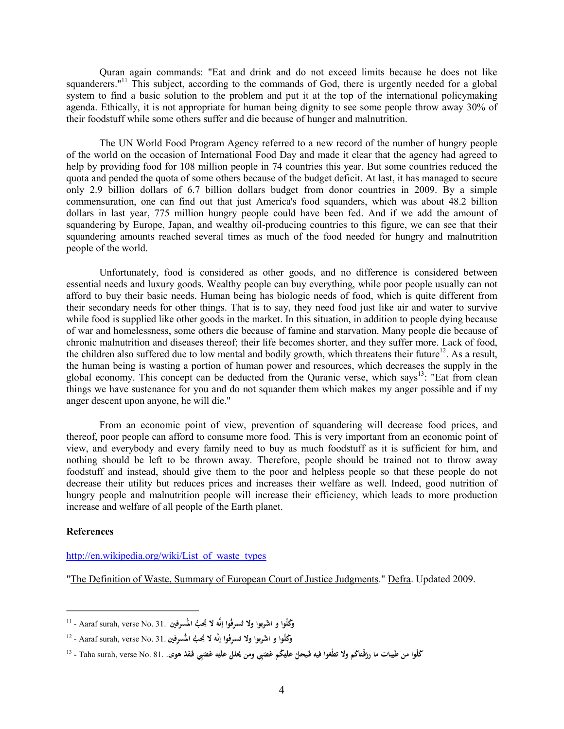Quran again commands: "Eat and drink and do not exceed limits because he does not like squanderers."<sup>11</sup> This subject, according to the commands of God, there is urgently needed for a global system to find a basic solution to the problem and put it at the top of the international policymaking agenda. Ethically, it is not appropriate for human being dignity to see some people throw away 30% of their foodstuff while some others suffer and die because of hunger and malnutrition.

The UN World Food Program Agency referred to a new record of the number of hungry people of the world on the occasion of International Food Day and made it clear that the agency had agreed to help by providing food for 108 million people in 74 countries this year. But some countries reduced the quota and pended the quota of some others because of the budget deficit. At last, it has managed to secure only 2.9 billion dollars of 6.7 billion dollars budget from donor countries in 2009. By a simple commensuration, one can find out that just America's food squanders, which was about 48.2 billion dollars in last year, 775 million hungry people could have been fed. And if we add the amount of squandering by Europe, Japan, and wealthy oil-producing countries to this figure, we can see that their squandering amounts reached several times as much of the food needed for hungry and malnutrition people of the world.

Unfortunately, food is considered as other goods, and no difference is considered between essential needs and luxury goods. Wealthy people can buy everything, while poor people usually can not afford to buy their basic needs. Human being has biologic needs of food, which is quite different from their secondary needs for other things. That is to say, they need food just like air and water to survive while food is supplied like other goods in the market. In this situation, in addition to people dying because of war and homelessness, some others die because of famine and starvation. Many people die because of chronic malnutrition and diseases thereof; their life becomes shorter, and they suffer more. Lack of food, the children also suffered due to low mental and bodily growth, which threatens their future<sup>12</sup>. As a result, the human being is wasting a portion of human power and resources, which decreases the supply in the global economy. This concept can be deducted from the Ouranic verse, which says<sup>13</sup>: "Eat from clean things we have sustenance for you and do not squander them which makes my anger possible and if my anger descent upon anyone, he will die."

From an economic point of view, prevention of squandering will decrease food prices, and thereof, poor people can afford to consume more food. This is very important from an economic point of view, and everybody and every family need to buy as much foodstuff as it is sufficient for him, and nothing should be left to be thrown away. Therefore, people should be trained not to throw away foodstuff and instead, should give them to the poor and helpless people so that these people do not decrease their utility but reduces prices and increases their welfare as well. Indeed, good nutrition of hungry people and malnutrition people will increase their efficiency, which leads to more production increase and welfare of all people of the Earth planet.

#### **References**

 $\overline{a}$ 

[http://en.wikipedia.org/wiki/List\\_of\\_waste\\_types](http://en.wikipedia.org/wiki/List_of_waste_types)

"The Definition of Waste, Summary of European Court of Justice Judgments." Defra. Updated 2009.

<sup>11</sup> - Aaraf surah, verse No. 31. **ين ُّب المُسِرف َ ُيح لا ُوا إنَّه ِرف ُس لا وا و ْشر ُكلُوا و و َ ِ ِ پو و۔ تشریو یہ**<br>م **ت َ ب َ ا َ**

**<sup>َ</sup>** <sup>12</sup> - Aaraf surah, verse No. 31. **ُ لا وا و ْشر ُكلُوا و و ين ُّب المُسِرف َ ُيح لا ُوا إنَّه ِرف س ت پور و۔ تشریق إنہ**<br>م **ب ا َ ِ ِ ْ**

**<sup>َ</sup> َ َ َ** ڭلُوا من طَيبات ما رزڤتاڭم ولا تطْعَوا فيه فَيحلَّ عَلَيْكُم غَصَبِي ومن يَحْلل علَيْه غَصَبِي فَقَدْ هوى. .B1 - Taha surah, verse No. 81 - <sup>13</sup> **َ ِ ْ َ ْ ِ ْ َ َ ْ ْ َ ِ َ ِ ِ ْ َ َ َ َ َ َ َ ِ ِ َ َ ْ**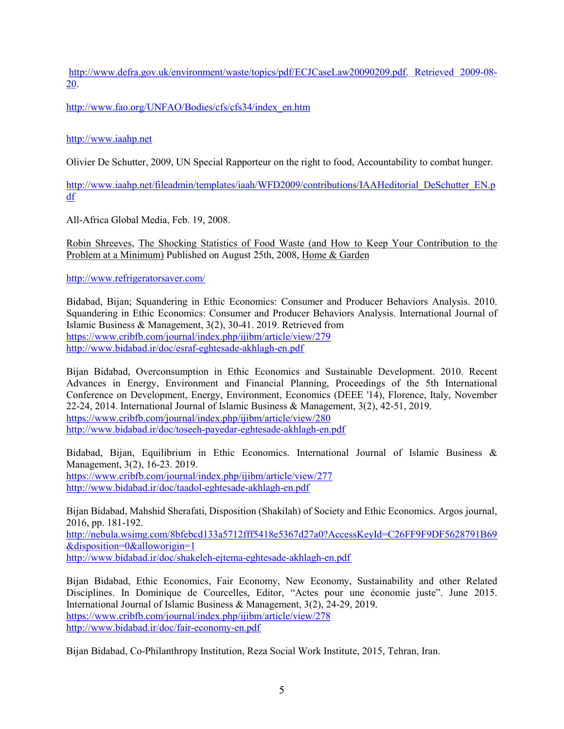[http://www.defra.gov.uk/environment/waste/topics/pdf/ECJCaseLaw20090209.pdf.](http://www.defra.gov.uk/environment/waste/topics/pdf/ECJCaseLaw20090209.pdf) Retrieved 2009-08- 20.

[http://www.fao.org/UNFAO/Bodies/cfs/cfs34/index\\_en.htm](http://www.fao.org/UNFAO/Bodies/cfs/cfs34/index_en.htm) 

## <http://www.iaahp.net>

Olivier De Schutter, 2009, UN Special Rapporteur on the right to food, Accountability to combat hunger.

[http://www.iaahp.net/fileadmin/templates/iaah/WFD2009/contributions/IAAHeditorial\\_DeSchutter\\_EN.p](http://www.iaahp.net/fileadmin/templates/iaah/WFD2009/contributions/IAAHeditorial_DeSchutter_EN.p) df

All-Africa Global Media, Feb. 19, 2008.

Robin Shreeves, The Shocking Statistics of Food Waste (and How to Keep Your Contribution to the Problem at a Minimum) Published on August 25th, 2008, Home & Garden

<http://www.refrigeratorsaver.com/>

Bidabad, Bijan; Squandering in Ethic Economics: Consumer and Producer Behaviors Analysis. 2010. Squandering in Ethic Economics: Consumer and Producer Behaviors Analysis. International Journal of Islamic Business & Management, 3(2), 30-41. 2019. Retrieved from <https://www.cribfb.com/journal/index.php/ijibm/article/view/279> <http://www.bidabad.ir/doc/esraf-eghtesade-akhlagh-en.pdf>

Bijan Bidabad, Overconsumption in Ethic Economics and Sustainable Development. 2010. Recent Advances in Energy, Environment and Financial Planning, Proceedings of the 5th International Conference on Development, Energy, Environment, Economics (DEEE '14), Florence, Italy, November 22-24, 2014. International Journal of Islamic Business & Management, 3(2), 42-51, 2019. <https://www.cribfb.com/journal/index.php/ijibm/article/view/280> <http://www.bidabad.ir/doc/toseeh-payedar-eghtesade-akhlagh-en.pdf>

Bidabad, Bijan, Equilibrium in Ethic Economics. International Journal of Islamic Business & Management, 3(2), 16-23. 2019. <https://www.cribfb.com/journal/index.php/ijibm/article/view/277> <http://www.bidabad.ir/doc/taadol-eghtesade-akhlagh-en.pdf>

Bijan Bidabad, Mahshid Sherafati, Disposition (Shakilah) of Society and Ethic Economics. Argos journal, 2016, pp. 181-192. <http://nebula.wsimg.com/8bfebcd133a5712fff5418e5367d27a0?AccessKeyId=C26FF9F9DF5628791B69>

&disposition=0&alloworigin=1

<http://www.bidabad.ir/doc/shakeleh-ejtema-eghtesade-akhlagh-en.pdf>

Bijan Bidabad, Ethic Economics, Fair Economy, New Economy, Sustainability and other Related Disciplines. In Dominique de Courcelles, Editor, "Actes pour une économie juste". June 2015. International Journal of Islamic Business & Management, 3(2), 24-29, 2019. <https://www.cribfb.com/journal/index.php/ijibm/article/view/278> <http://www.bidabad.ir/doc/fair-economy-en.pdf>

Bijan Bidabad, Co-Philanthropy Institution, Reza Social Work Institute, 2015, Tehran, Iran.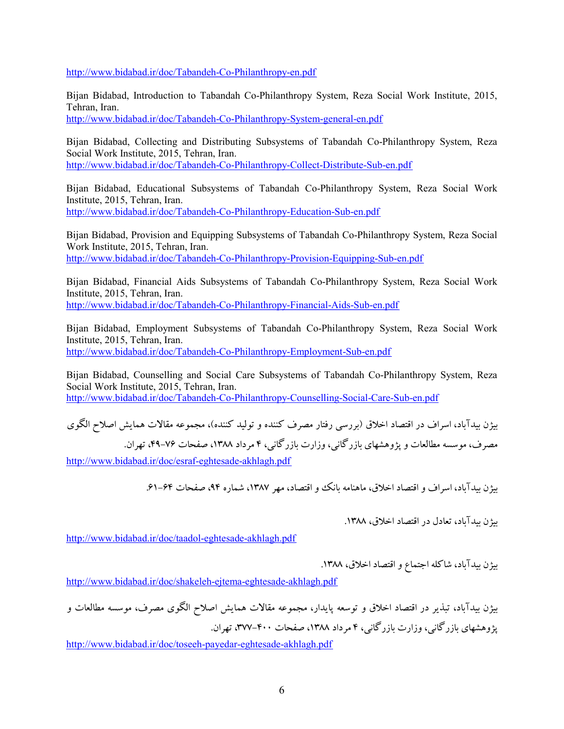<http://www.bidabad.ir/doc/Tabandeh-Co-Philanthropy-en.pdf>

Bijan Bidabad, Introduction to Tabandah Co-Philanthropy System, Reza Social Work Institute, 2015, Tehran, Iran.

<http://www.bidabad.ir/doc/Tabandeh-Co-Philanthropy-System-general-en.pdf>

Bijan Bidabad, Collecting and Distributing Subsystems of Tabandah Co-Philanthropy System, Reza Social Work Institute, 2015, Tehran, Iran. <http://www.bidabad.ir/doc/Tabandeh-Co-Philanthropy-Collect-Distribute-Sub-en.pdf>

Bijan Bidabad, Educational Subsystems of Tabandah Co-Philanthropy System, Reza Social Work Institute, 2015, Tehran, Iran. <http://www.bidabad.ir/doc/Tabandeh-Co-Philanthropy-Education-Sub-en.pdf>

Bijan Bidabad, Provision and Equipping Subsystems of Tabandah Co-Philanthropy System, Reza Social Work Institute, 2015, Tehran, Iran. <http://www.bidabad.ir/doc/Tabandeh-Co-Philanthropy-Provision-Equipping-Sub-en.pdf>

Bijan Bidabad, Financial Aids Subsystems of Tabandah Co-Philanthropy System, Reza Social Work Institute, 2015, Tehran, Iran. <http://www.bidabad.ir/doc/Tabandeh-Co-Philanthropy-Financial-Aids-Sub-en.pdf>

Bijan Bidabad, Employment Subsystems of Tabandah Co-Philanthropy System, Reza Social Work Institute, 2015, Tehran, Iran. <http://www.bidabad.ir/doc/Tabandeh-Co-Philanthropy-Employment-Sub-en.pdf>

Bijan Bidabad, Counselling and Social Care Subsystems of Tabandah Co-Philanthropy System, Reza Social Work Institute, 2015, Tehran, Iran. <http://www.bidabad.ir/doc/Tabandeh-Co-Philanthropy-Counselling-Social-Care-Sub-en.pdf>

بیژن بیدآباد، اسراف در اقتصاد اخلاق (بررسی رفتار مصرف کننده و تولید کننده)، مجموعه مقالات همایش اصلاح الگوي مصرف، موسسه مطالعات و پژوهشهاي بازرگانی، وزارت بازرگانی، 4 مرداد ،1388 صفحات ،49-76 تهران. <http://www.bidabad.ir/doc/esraf-eghtesade-akhlagh.pdf>

بیژن بیدآباد، اسراف و اقتصاد اخلاق، ماهنامه بانک و اقتصاد، مهر ۱۳۸۷، شماره ۹۴، صفحات ۶۴–۶۱.

بیژن بیدآباد، تعادل در اقتصاد اخلاق، .1388

<http://www.bidabad.ir/doc/taadol-eghtesade-akhlagh.pdf>

بیژن بیدآباد، شاکله اجتماع و اقتصاد اخلاق، ۱۳۸۸.

<http://www.bidabad.ir/doc/shakeleh-ejtema-eghtesade-akhlagh.pdf>

بیژن بیدآباد، تبذیر در اقتصاد اخلاق و توسعه پایدار، مجموعه مقالات همایش اصلاح الگوي مصرف، موسسه مطالعات و پژوهشهای باز رگانی، وزارت بازر گانی، ۴ مرداد ۱۳۸۸، صفحات ۴۰۰-۳۷۷، تهران.

<http://www.bidabad.ir/doc/toseeh-payedar-eghtesade-akhlagh.pdf>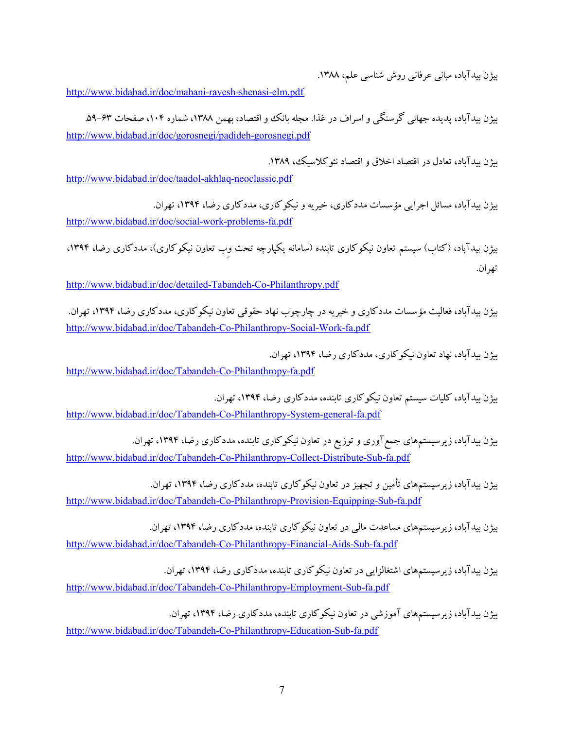بیژن بیدآباد، مبانی عرفانی روش شناسی علم، ۱۳۸۸.

<http://www.bidabad.ir/doc/mabani-ravesh-shenasi-elm.pdf>

بیژن بیدآباد، پدیده جهانی گرسنگی و اسراف در غذا. مجله بانک وو اقتصاد، بهمن ۱۳۸۸، شماره ۱۰۴، صفحات ۶۳–۵۹. <http://www.bidabad.ir/doc/gorosnegi/padideh-gorosnegi.pdf>

بیژن بیدآباد، تعادل در اقتصاد اخلاق و اقتصاد نئوکلاسیک، .1389

<http://www.bidabad.ir/doc/taadol-akhlaq-neoclassic.pdf>

بیژن بیدآباد، مسائل اجرایی مؤسسات مددکاري، خیریه و نیکوکاري، مددکاري رضا، ،1394 تهران. <http://www.bidabad.ir/doc/social-work-problems-fa.pdf>

بیژن بیدآباد، (کتاب) سیستم تعاون نیکوکاری تابنده (سامانه یکپارچه تحت وِب تعاون نیکوکاری)، مددکاری رضا، ۱۳۹۴، تهران.

<http://www.bidabad.ir/doc/detailed-Tabandeh-Co-Philanthropy.pdf>

بیژن بیدآباد، فعالیت مؤسسات مددکاري و خیریه در چارچوب نهاد حقوقی تعاون نیکوکاري، مددکاري رضا، ،1394 تهران. <http://www.bidabad.ir/doc/Tabandeh-Co-Philanthropy-Social-Work-fa.pdf>

بیژن بیدآباد، نهاد تعاون نیکوکاري، مددکاري رضا، ،1394 تهران. <http://www.bidabad.ir/doc/Tabandeh-Co-Philanthropy-fa.pdf>

بیژن بیدآباد، کلیات سیستم تعاون نیکوکاري تابنده، مددکاري رضا، ،1394 تهران. <http://www.bidabad.ir/doc/Tabandeh-Co-Philanthropy-System-general-fa.pdf>

بیژن بیدآباد، زیرسیستمهاي جمعآوري وتوزیع در تعاون نیکوکاري تابنده، مددکاري رضا، ،1394 تهران. <http://www.bidabad.ir/doc/Tabandeh-Co-Philanthropy-Collect-Distribute-Sub-fa.pdf>

بیژن بیدآباد، زیرسیستمهاي تأمین و تجهیزدر تعاون نیکوکاري تابنده، مددکاري رضا، ،1394 تهران. <http://www.bidabad.ir/doc/Tabandeh-Co-Philanthropy-Provision-Equipping-Sub-fa.pdf>

بیژن بیدآباد، زیرسیستمهاي مساعدت مالی در تعاون نیکوکاري تابنده، مددکاري رضا، ،1394 تهران. <http://www.bidabad.ir/doc/Tabandeh-Co-Philanthropy-Financial-Aids-Sub-fa.pdf>

بیژن بیدآباد، زیرسیستمهاي اشتغالزایی در تعاون نیکوکاري تابنده، مددکاري رضا، ،1394 تهران. <http://www.bidabad.ir/doc/Tabandeh-Co-Philanthropy-Employment-Sub-fa.pdf>

بیژن بیدآباد، زیرسیستمهاي آموزشی در تعاون نیکوکاري تابنده، مددکاري رضا، ،1394 تهران. <http://www.bidabad.ir/doc/Tabandeh-Co-Philanthropy-Education-Sub-fa.pdf>